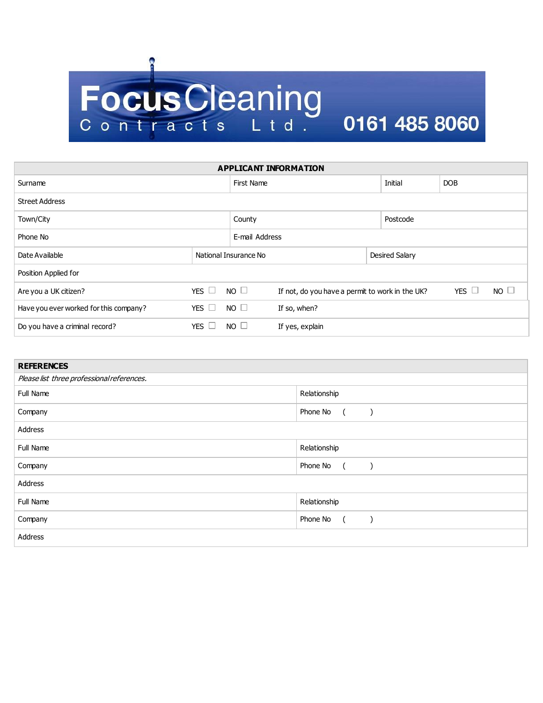## Focus Cleaning<br>Contracts Ltd. 0161 485 8060

| <b>APPLICANT INFORMATION</b>           |                       |                                                                |                 |  |                |            |             |  |  |  |
|----------------------------------------|-----------------------|----------------------------------------------------------------|-----------------|--|----------------|------------|-------------|--|--|--|
| Surname                                |                       | First Name                                                     |                 |  | Initial        | <b>DOB</b> |             |  |  |  |
| <b>Street Address</b>                  |                       |                                                                |                 |  |                |            |             |  |  |  |
| Town/City                              |                       | County                                                         |                 |  | Postcode       |            |             |  |  |  |
| Phone No                               |                       | E-mail Address                                                 |                 |  |                |            |             |  |  |  |
| Date Available                         | National Insurance No |                                                                |                 |  | Desired Salary |            |             |  |  |  |
| Position Applied for                   |                       |                                                                |                 |  |                |            |             |  |  |  |
| Are you a UK citizen?                  | YES $\Box$            | $NO$ $\Box$<br>If not, do you have a permit to work in the UK? |                 |  |                | YES $\Box$ | $NO$ $\Box$ |  |  |  |
| Have you ever worked for this company? | YES $\Box$            | $NO \Box$                                                      | If so, when?    |  |                |            |             |  |  |  |
| Do you have a criminal record?         | YES $\Box$            | $NO$ $\Box$                                                    | If yes, explain |  |                |            |             |  |  |  |

| <b>REFERENCES</b>                          |                                                              |  |  |  |  |
|--------------------------------------------|--------------------------------------------------------------|--|--|--|--|
| Please list three professional references. |                                                              |  |  |  |  |
| Full Name                                  | Relationship                                                 |  |  |  |  |
| Company                                    | Phone No (<br>$\left( \begin{array}{cc} \end{array} \right)$ |  |  |  |  |
| Address                                    |                                                              |  |  |  |  |
| Full Name                                  | Relationship                                                 |  |  |  |  |
| Company                                    | Phone No (                                                   |  |  |  |  |
| Address                                    |                                                              |  |  |  |  |
| Full Name                                  | Relationship                                                 |  |  |  |  |
| Company                                    | Phone No ()                                                  |  |  |  |  |
| Address                                    |                                                              |  |  |  |  |